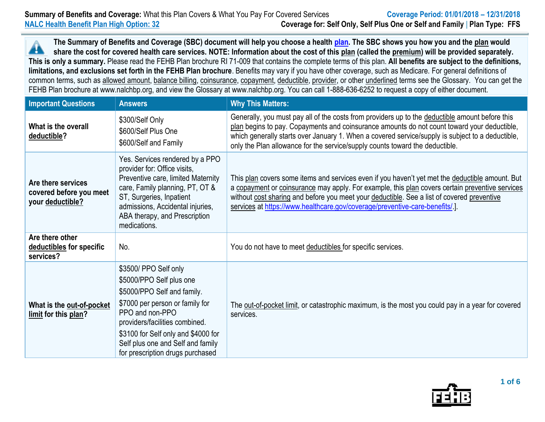**The Summary of Benefits and Coverage (SBC) document will help you choose a health [plan.](https://www.opm.gov/healthcare-insurance/healthcare/plan-information/compare-plans/) The SBC shows you how you and the plan would** Â **share the cost for covered health care services. NOTE: Information about the cost of this plan (called the premium) will be provided separately. This is only a summary.** Please read the FEHB Plan brochure RI 71-009 that contains the complete terms of this plan. **All benefits are subject to the definitions, limitations, and exclusions set forth in the FEHB Plan brochure**. Benefits may vary if you have other coverage, such as Medicare. For general definitions of common terms, such as allowed amount, balance billing, coinsurance, copayment, deductible, provider, or other underlined terms see the Glossary. You can get the FEHB Plan brochure at www.nalchbp.org, and view the Glossary at www.nalchbp.org. You can call 1-888-636-6252 to request a copy of either document.

| <b>Important Questions</b>                                        | <b>Answers</b>                                                                                                                                                                                                                                                                           | <b>Why This Matters:</b>                                                                                                                                                                                                                                                                                                                                                           |  |  |
|-------------------------------------------------------------------|------------------------------------------------------------------------------------------------------------------------------------------------------------------------------------------------------------------------------------------------------------------------------------------|------------------------------------------------------------------------------------------------------------------------------------------------------------------------------------------------------------------------------------------------------------------------------------------------------------------------------------------------------------------------------------|--|--|
| What is the overall<br>deductible?                                | \$300/Self Only<br>\$600/Self Plus One<br>\$600/Self and Family                                                                                                                                                                                                                          | Generally, you must pay all of the costs from providers up to the deductible amount before this<br>plan begins to pay. Copayments and coinsurance amounts do not count toward your deductible,<br>which generally starts over January 1. When a covered service/supply is subject to a deductible,<br>only the Plan allowance for the service/supply counts toward the deductible. |  |  |
| Are there services<br>covered before you meet<br>your deductible? | Yes. Services rendered by a PPO<br>provider for: Office visits,<br>Preventive care, limited Maternity<br>care, Family planning, PT, OT &<br>ST, Surgeries, Inpatient<br>admissions, Accidental injuries,<br>ABA therapy, and Prescription<br>medications.                                | This plan covers some items and services even if you haven't yet met the deductible amount. But<br>a copayment or coinsurance may apply. For example, this plan covers certain preventive services<br>without cost sharing and before you meet your deductible. See a list of covered preventive<br>services at https://www.healthcare.gov/coverage/preventive-care-benefits/.].   |  |  |
| Are there other<br>deductibles for specific<br>services?          | No.                                                                                                                                                                                                                                                                                      | You do not have to meet deductibles for specific services.                                                                                                                                                                                                                                                                                                                         |  |  |
| What is the out-of-pocket<br>limit for this plan?                 | \$3500/ PPO Self only<br>\$5000/PPO Self plus one<br>\$5000/PPO Self and family.<br>\$7000 per person or family for<br>PPO and non-PPO<br>providers/facilities combined.<br>\$3100 for Self only and \$4000 for<br>Self plus one and Self and family<br>for prescription drugs purchased | The out-of-pocket limit, or catastrophic maximum, is the most you could pay in a year for covered<br>services.                                                                                                                                                                                                                                                                     |  |  |

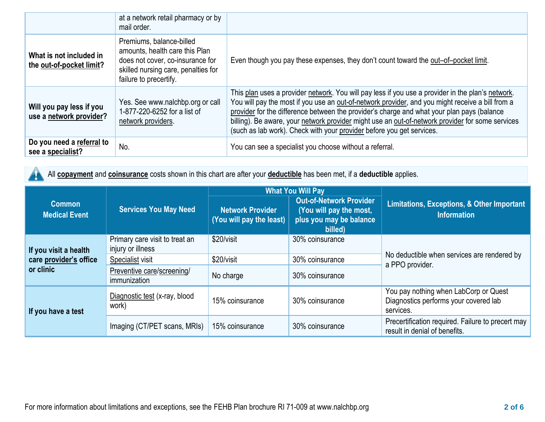|                                                     | at a network retail pharmacy or by<br>mail order.                                                                                                               |                                                                                                                                                                                                                                                                                                                                                                                                                                                                                  |
|-----------------------------------------------------|-----------------------------------------------------------------------------------------------------------------------------------------------------------------|----------------------------------------------------------------------------------------------------------------------------------------------------------------------------------------------------------------------------------------------------------------------------------------------------------------------------------------------------------------------------------------------------------------------------------------------------------------------------------|
| What is not included in<br>the out-of-pocket limit? | Premiums, balance-billed<br>amounts, health care this Plan<br>does not cover, co-insurance for<br>skilled nursing care, penalties for<br>failure to precertify. | Even though you pay these expenses, they don't count toward the out-of-pocket limit.                                                                                                                                                                                                                                                                                                                                                                                             |
| Will you pay less if you<br>use a network provider? | Yes. See www.nalchbp.org or call<br>1-877-220-6252 for a list of<br>network providers.                                                                          | This plan uses a provider network. You will pay less if you use a provider in the plan's network.<br>You will pay the most if you use an out-of-network provider, and you might receive a bill from a<br>provider for the difference between the provider's charge and what your plan pays (balance<br>billing). Be aware, your network provider might use an out-of-network provider for some services<br>(such as lab work). Check with your provider before you get services. |
| Do you need a referral to<br>see a specialist?      | No.                                                                                                                                                             | You can see a specialist you choose without a referral.                                                                                                                                                                                                                                                                                                                                                                                                                          |

All **copayment** and **coinsurance** costs shown in this chart are after your **deductible** has been met, if a **deductible** applies.  $\blacktriangle$ 

|                                                              |                                                     | <b>What You Will Pay</b>                            |                                                                                                 |                                                                                             |  |
|--------------------------------------------------------------|-----------------------------------------------------|-----------------------------------------------------|-------------------------------------------------------------------------------------------------|---------------------------------------------------------------------------------------------|--|
| <b>Common</b><br><b>Medical Event</b>                        | <b>Services You May Need</b>                        | <b>Network Provider</b><br>(You will pay the least) | <b>Out-of-Network Provider</b><br>(You will pay the most,<br>plus you may be balance<br>billed) | <b>Limitations, Exceptions, &amp; Other Important</b><br><b>Information</b>                 |  |
| If you visit a health<br>care provider's office<br>or clinic | Primary care visit to treat an<br>injury or illness | \$20/visit                                          | 30% coinsurance                                                                                 | No deductible when services are rendered by<br>a PPO provider.                              |  |
|                                                              | Specialist visit                                    | \$20/visit                                          | 30% coinsurance                                                                                 |                                                                                             |  |
|                                                              | Preventive care/screening/<br>immunization          | No charge                                           | 30% coinsurance                                                                                 |                                                                                             |  |
| If you have a test                                           | Diagnostic test (x-ray, blood<br>work)              | 15% coinsurance                                     | 30% coinsurance                                                                                 | You pay nothing when LabCorp or Quest<br>Diagnostics performs your covered lab<br>services. |  |
|                                                              | Imaging (CT/PET scans, MRIs)                        | 15% coinsurance                                     | 30% coinsurance                                                                                 | Precertification required. Failure to precert may<br>result in denial of benefits.          |  |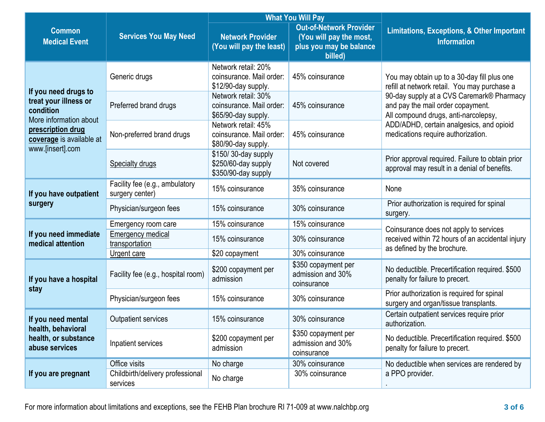|                                                                                    |                                                   | <b>What You Will Pay</b>                                               |                                                                                                 |                                                                                                                                                                                                                       |  |
|------------------------------------------------------------------------------------|---------------------------------------------------|------------------------------------------------------------------------|-------------------------------------------------------------------------------------------------|-----------------------------------------------------------------------------------------------------------------------------------------------------------------------------------------------------------------------|--|
| <b>Common</b><br><b>Medical Event</b>                                              | <b>Services You May Need</b>                      | <b>Network Provider</b><br>(You will pay the least)                    | <b>Out-of-Network Provider</b><br>(You will pay the most,<br>plus you may be balance<br>billed) | <b>Limitations, Exceptions, &amp; Other Important</b><br><b>Information</b>                                                                                                                                           |  |
| If you need drugs to                                                               | Generic drugs                                     | Network retail: 20%<br>coinsurance. Mail order:<br>\$12/90-day supply. | 45% coinsurance                                                                                 | You may obtain up to a 30-day fill plus one<br>refill at network retail. You may purchase a<br>90-day supply at a CVS Caremark® Pharmacy<br>and pay the mail order copayment.<br>All compound drugs, anti-narcolepsy, |  |
| treat your illness or<br>condition<br>More information about                       | Preferred brand drugs                             | Network retail: 30%<br>coinsurance. Mail order:<br>\$65/90-day supply. | 45% coinsurance                                                                                 |                                                                                                                                                                                                                       |  |
| prescription drug<br>coverage is available at<br>www.[insert].com                  | Non-preferred brand drugs                         | Network retail: 45%<br>coinsurance. Mail order:<br>\$80/90-day supply. | 45% coinsurance                                                                                 | ADD/ADHD, certain analgesics, and opioid<br>medications require authorization.                                                                                                                                        |  |
|                                                                                    | Specialty drugs                                   | \$150/30-day supply<br>\$250/60-day supply<br>\$350/90-day supply      | Not covered                                                                                     | Prior approval required. Failure to obtain prior<br>approval may result in a denial of benefits.                                                                                                                      |  |
| If you have outpatient<br>surgery                                                  | Facility fee (e.g., ambulatory<br>surgery center) | 15% coinsurance                                                        | 35% coinsurance                                                                                 | None                                                                                                                                                                                                                  |  |
|                                                                                    | Physician/surgeon fees                            | 15% coinsurance                                                        | 30% coinsurance                                                                                 | Prior authorization is required for spinal<br>surgery.                                                                                                                                                                |  |
|                                                                                    | Emergency room care                               | 15% coinsurance                                                        | 15% coinsurance                                                                                 | Coinsurance does not apply to services<br>received within 72 hours of an accidental injury<br>as defined by the brochure.                                                                                             |  |
| If you need immediate<br>medical attention                                         | <b>Emergency medical</b><br>transportation        | 15% coinsurance                                                        | 30% coinsurance                                                                                 |                                                                                                                                                                                                                       |  |
|                                                                                    | Urgent care                                       | \$20 copayment                                                         | 30% coinsurance                                                                                 |                                                                                                                                                                                                                       |  |
| If you have a hospital<br>stay                                                     | Facility fee (e.g., hospital room)                | \$200 copayment per<br>admission                                       | \$350 copayment per<br>admission and 30%<br>coinsurance                                         | No deductible. Precertification required. \$500<br>penalty for failure to precert.                                                                                                                                    |  |
|                                                                                    | Physician/surgeon fees                            | 15% coinsurance                                                        | 30% coinsurance                                                                                 | Prior authorization is required for spinal<br>surgery and organ/tissue transplants.                                                                                                                                   |  |
| If you need mental<br>health, behavioral<br>health, or substance<br>abuse services | <b>Outpatient services</b>                        | 15% coinsurance                                                        | 30% coinsurance                                                                                 | Certain outpatient services require prior<br>authorization.                                                                                                                                                           |  |
|                                                                                    | Inpatient services                                | \$200 copayment per<br>admission                                       | \$350 copayment per<br>admission and 30%<br>coinsurance                                         | No deductible. Precertification required. \$500<br>penalty for failure to precert.                                                                                                                                    |  |
|                                                                                    | Office visits                                     | No charge                                                              | 30% coinsurance                                                                                 | No deductible when services are rendered by                                                                                                                                                                           |  |
| If you are pregnant                                                                | Childbirth/delivery professional<br>services      | No charge                                                              | 30% coinsurance                                                                                 | a PPO provider.                                                                                                                                                                                                       |  |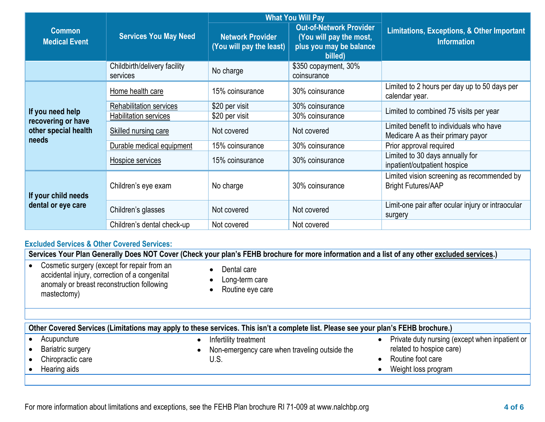|                                           |                                          | <b>What You Will Pay</b>                            |                                                                                                 |                                                                              |  |
|-------------------------------------------|------------------------------------------|-----------------------------------------------------|-------------------------------------------------------------------------------------------------|------------------------------------------------------------------------------|--|
| <b>Common</b><br>Medical Event            | <b>Services You May Need</b>             | <b>Network Provider</b><br>(You will pay the least) | <b>Out-of-Network Provider</b><br>(You will pay the most,<br>plus you may be balance<br>billed) | <b>Limitations, Exceptions, &amp; Other Important</b><br><b>Information</b>  |  |
|                                           | Childbirth/delivery facility<br>services | No charge                                           | \$350 copayment, 30%<br>coinsurance                                                             |                                                                              |  |
|                                           | Home health care                         | 15% coinsurance                                     | 30% coinsurance                                                                                 | Limited to 2 hours per day up to 50 days per<br>calendar year.               |  |
|                                           | <b>Rehabilitation services</b>           | \$20 per visit                                      | 30% coinsurance                                                                                 | Limited to combined 75 visits per year                                       |  |
| If you need help<br>recovering or have    | <b>Habilitation services</b>             | \$20 per visit                                      | 30% coinsurance                                                                                 |                                                                              |  |
| other special health<br>needs             | Skilled nursing care                     | Not covered                                         | Not covered                                                                                     | Limited benefit to individuals who have<br>Medicare A as their primary payor |  |
|                                           | Durable medical equipment                | 15% coinsurance                                     | 30% coinsurance                                                                                 | Prior approval required                                                      |  |
|                                           | Hospice services                         | 15% coinsurance                                     | 30% coinsurance                                                                                 | Limited to 30 days annually for<br>inpatient/outpatient hospice              |  |
| If your child needs<br>dental or eye care | Children's eye exam                      | No charge                                           | 30% coinsurance                                                                                 | Limited vision screening as recommended by<br><b>Bright Futures/AAP</b>      |  |
|                                           | Children's glasses                       | Not covered                                         | Not covered                                                                                     | Limit-one pair after ocular injury or intraocular<br>surgery                 |  |
|                                           | Children's dental check-up               | Not covered                                         | Not covered                                                                                     |                                                                              |  |

## **Excluded Services & Other Covered Services:**

| Services Your Plan Generally Does NOT Cover (Check your plan's FEHB brochure for more information and a list of any other excluded services.)             |                                                                                                                                     |                                                                                                                        |  |  |
|-----------------------------------------------------------------------------------------------------------------------------------------------------------|-------------------------------------------------------------------------------------------------------------------------------------|------------------------------------------------------------------------------------------------------------------------|--|--|
| Cosmetic surgery (except for repair from an<br>accidental injury, correction of a congenital<br>anomaly or breast reconstruction following<br>mastectomy) | Dental care<br>$\bullet$<br>Long-term care<br>$\bullet$<br>Routine eye care<br>$\bullet$                                            |                                                                                                                        |  |  |
|                                                                                                                                                           | Other Covered Services (Limitations may apply to these services. This isn't a complete list. Please see your plan's FEHB brochure.) |                                                                                                                        |  |  |
| Acupuncture<br><b>Bariatric surgery</b><br>Chiropractic care<br>Hearing aids                                                                              | Infertility treatment<br>Non-emergency care when traveling outside the<br>U.S.                                                      | Private duty nursing (except when inpatient or<br>related to hospice care)<br>Routine foot care<br>Weight loss program |  |  |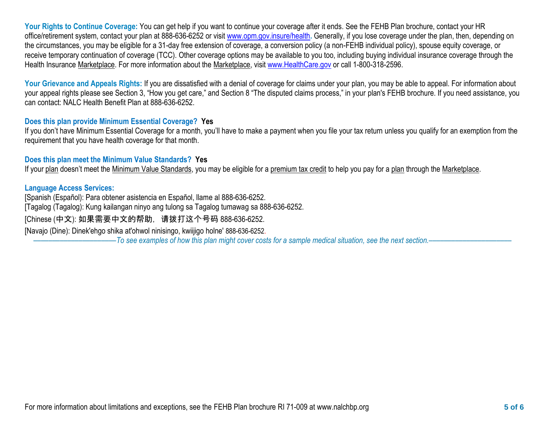**Your Rights to Continue Coverage:** You can get help if you want to continue your coverage after it ends. See the FEHB Plan brochure, contact your HR office/retirement system, contact your plan at 888-636-6252 or visit [www.opm.gov.insure/health](http://www.opm.gov.insure/health)**.** Generally, if you lose coverage under the plan, then, depending on the circumstances, you may be eligible for a 31-day free extension of coverage, a conversion policy (a non-FEHB individual policy), spouse equity coverage, or receive temporary continuation of coverage (TCC). Other coverage options may be available to you too, including buying individual insurance coverage through the Health Insurance Marketplace. For more information about the Marketplace, visit [www.HealthCare.gov](http://www.healthcare.gov/) or call 1-800-318-2596.

Your Grievance and Appeals Rights: If you are dissatisfied with a denial of coverage for claims under your plan, you may be able to appeal. For information about your appeal rights please see Section 3, "How you get care," and Section 8 "The disputed claims process," in your plan's FEHB brochure. If you need assistance, you can contact: NALC Health Benefit Plan at 888-636-6252.

## **Does this plan provide Minimum Essential Coverage? Yes**

If you don't have Minimum Essential Coverage for a month, you'll have to make a payment when you file your tax return unless you qualify for an exemption from the requirement that you have health coverage for that month.

## **Does this plan meet the Minimum Value Standards? Yes**

If your plan doesn't meet the Minimum Value Standards, you may be eligible for a premium tax credit to help you pay for a plan through the Marketplace.

## **Language Access Services:**

[Spanish (Español): Para obtener asistencia en Español, llame al 888-636-6252. [Tagalog (Tagalog): Kung kailangan ninyo ang tulong sa Tagalog tumawag sa 888-636-6252. [Chinese (中文): 如果需要中文的帮助,请拨打这个号码 888-636-6252. [Navajo (Dine): Dinek'ehgo shika at'ohwol ninisingo, kwiijigo holne' 888-636-6252. ––––––––––––––––––––––*To see examples of how this plan might cover costs for a sample medical situation, see the next section.–––––––––––*–––––––––––